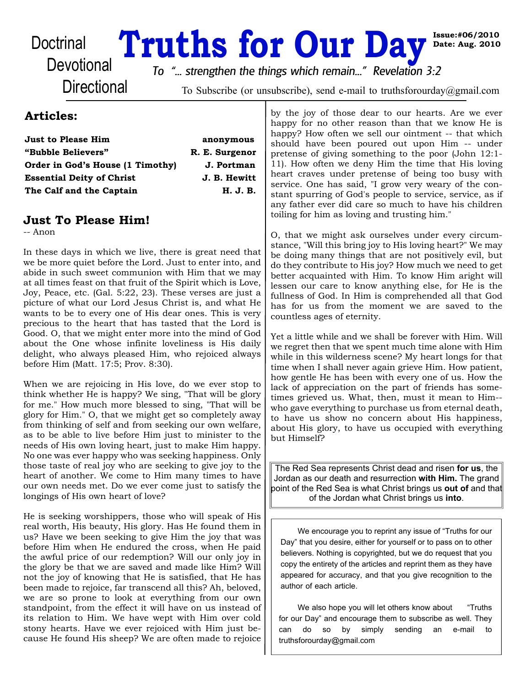# Doctrinal **Truths for Our Day Day** Devotional *In the streepthen the things which remain If Revelation 3:2*

**Date: Aug. 2010**

**Directional** 

*To "... strengthen the things which remain..." Revelation 3:2*

To Subscribe (or unsubscribe), send e-mail to truthsforourday@gmail.com

# **Articles:**

| <b>Just to Please Him</b>                                            | anonymous                  |
|----------------------------------------------------------------------|----------------------------|
| "Bubble Believers"                                                   | R. E. Surgenor             |
| Order in God's House (1 Timothy)<br><b>Essential Deity of Christ</b> | J. Portman<br>J. B. Hewitt |
|                                                                      |                            |

# **Just To Please Him!**

-- Anon

In these days in which we live, there is great need that we be more quiet before the Lord. Just to enter into, and abide in such sweet communion with Him that we may at all times feast on that fruit of the Spirit which is Love, Joy, Peace, etc. (Gal. 5:22, 23). These verses are just a picture of what our Lord Jesus Christ is, and what He wants to be to every one of His dear ones. This is very precious to the heart that has tasted that the Lord is Good. O, that we might enter more into the mind of God about the One whose infinite loveliness is His daily delight, who always pleased Him, who rejoiced always before Him (Matt. 17:5; Prov. 8:30).

When we are rejoicing in His love, do we ever stop to think whether He is happy? We sing, "That will be glory for me." How much more blessed to sing, "That will be glory for Him." O, that we might get so completely away from thinking of self and from seeking our own welfare, as to be able to live before Him just to minister to the needs of His own loving heart, just to make Him happy. No one was ever happy who was seeking happiness. Only those taste of real joy who are seeking to give joy to the heart of another. We come to Him many times to have our own needs met. Do we ever come just to satisfy the longings of His own heart of love?

He is seeking worshippers, those who will speak of His real worth, His beauty, His glory. Has He found them in us? Have we been seeking to give Him the joy that was before Him when He endured the cross, when He paid the awful price of our redemption? Will our only joy in the glory be that we are saved and made like Him? Will not the joy of knowing that He is satisfied, that He has been made to rejoice, far transcend all this? Ah, beloved, we are so prone to look at everything from our own standpoint, from the effect it will have on us instead of its relation to Him. We have wept with Him over cold stony hearts. Have we ever rejoiced with Him just because He found His sheep? We are often made to rejoice

by the joy of those dear to our hearts. Are we ever happy for no other reason than that we know He is happy? How often we sell our ointment -- that which should have been poured out upon Him -- under pretense of giving something to the poor (John 12:1- 11). How often we deny Him the time that His loving heart craves under pretense of being too busy with service. One has said, "I grow very weary of the constant spurring of God's people to service, service, as if any father ever did care so much to have his children toiling for him as loving and trusting him."

O, that we might ask ourselves under every circumstance, "Will this bring joy to His loving heart?" We may be doing many things that are not positively evil, but do they contribute to His joy? How much we need to get better acquainted with Him. To know Him aright will lessen our care to know anything else, for He is the fullness of God. In Him is comprehended all that God has for us from the moment we are saved to the countless ages of eternity.

Yet a little while and we shall be forever with Him. Will we regret then that we spent much time alone with Him while in this wilderness scene? My heart longs for that time when I shall never again grieve Him. How patient, how gentle He has been with every one of us. How the lack of appreciation on the part of friends has sometimes grieved us. What, then, must it mean to Him- who gave everything to purchase us from eternal death, to have us show no concern about His happiness, about His glory, to have us occupied with everything but Himself?

The Red Sea represents Christ dead and risen **for us**, the Jordan as our death and resurrection **with Him.** The grand point of the Red Sea is what Christ brings us **out of** and that of the Jordan what Christ brings us **into**.

We encourage you to reprint any issue of "Truths for our Day" that you desire, either for yourself or to pass on to other believers. Nothing is copyrighted, but we do request that you copy the entirety of the articles and reprint them as they have appeared for accuracy, and that you give recognition to the author of each article.

We also hope you will let others know about "Truths" for our Day" and encourage them to subscribe as well. They can do so by simply sending an e-mail to truthsforourday@gmail.com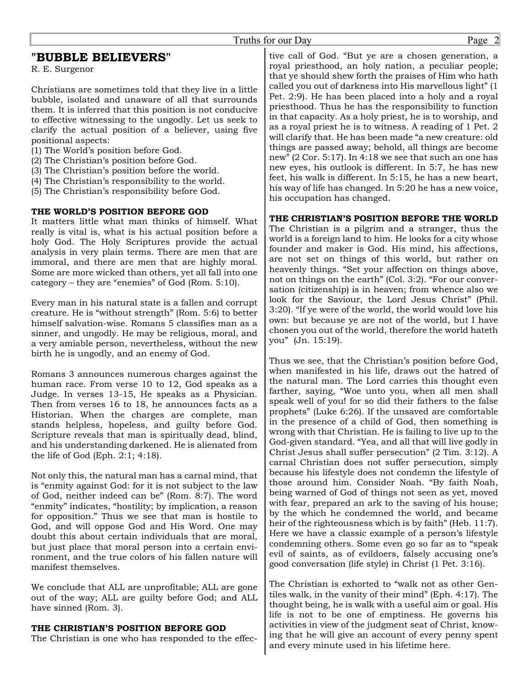# **"BUBBLE BELIEVERS"**

R. E. Surgenor

Christians are sometimes told that they live in a little bubble, isolated and unaware of all that surrounds them. It is inferred that this position is not conducive to effective witnessing to the ungodly. Let us seek to clarify the actual position of a believer, using five positional aspects:

- (1) The World's position before God.
- (2) The Christian's position before God.
- (3) The Christian's position before the world.
- (4) The Christian's responsibility to the world.
- (5) The Christian's responsibility before God.

# **THE WORLD'S POSITION BEFORE GOD**

It matters little what man thinks of himself. What really is vital is, what is his actual position before a holy God. The Holy Scriptures provide the actual analysis in very plain terms. There are men that are immoral, and there are men that are highly moral. Some are more wicked than others, yet all fall into one category – they are "enemies" of God (Rom. 5:10).

Every man in his natural state is a fallen and corrupt creature. He is "without strength" (Rom. 5:6) to better himself salvation-wise. Romans 5 classifies man as a sinner, and ungodly. He may be religious, moral, and a very amiable person, nevertheless, without the new birth he is ungodly, and an enemy of God.

Romans 3 announces numerous charges against the human race. From verse 10 to 12, God speaks as a Judge. In verses 13-15, He speaks as a Physician. Then from verses 16 to 18, he announces facts as a Historian. When the charges are complete, man stands helpless, hopeless, and guilty before God. Scripture reveals that man is spiritually dead, blind, and his understanding darkened. He is alienated from the life of God (Eph. 2:1; 4:18).

Not only this, the natural man has a carnal mind, that is "enmity against God: for it is not subject to the law of God, neither indeed can be" (Rom. 8:7). The word "enmity" indicates, "hostility; by implication, a reason for opposition." Thus we see that man is hostile to God, and will oppose God and His Word. One may doubt this about certain individuals that are moral, but just place that moral person into a certain environment, and the true colors of his fallen nature will manifest themselves.

We conclude that ALL are unprofitable; ALL are gone out of the way; ALL are guilty before God; and ALL have sinned (Rom. 3).

### **THE CHRISTIAN'S POSITION BEFORE GOD**

The Christian is one who has responded to the effec-

tive call of God. "But ye are a chosen generation, a royal priesthood, an holy nation, a peculiar people; that ye should shew forth the praises of Him who hath called you out of darkness into His marvellous light" (1 Pet. 2:9). He has been placed into a holy and a royal priesthood. Thus he has the responsibility to function in that capacity. As a holy priest, he is to worship, and as a royal priest he is to witness. A reading of 1 Pet. 2 will clarify that. He has been made "a new creature: old things are passed away; behold, all things are become new" (2 Cor. 5:17). In 4:18 we see that such an one has new eyes, his outlook is different. In 5:7, he has new feet, his walk is different. In 5:15, he has a new heart, his way of life has changed. In 5:20 he has a new voice, his occupation has changed.

# **THE CHRISTIAN'S POSITION BEFORE THE WORLD**

The Christian is a pilgrim and a stranger, thus the world is a foreign land to him. He looks for a city whose founder and maker is God. His mind, his affections, are not set on things of this world, but rather on heavenly things. "Set your affection on things above, not on things on the earth" (Col. 3:2). "For our conversation (citizenship) is in heaven; from whence also we look for the Saviour, the Lord Jesus Christ" (Phil. 3:20). "If ye were of the world, the world would love his own: but because ye are not of the world, but I have chosen you out of the world, therefore the world hateth you" (Jn. 15:19).

Thus we see, that the Christian's position before God, when manifested in his life, draws out the hatred of the natural man. The Lord carries this thought even farther, saying, "Woe unto you, when all men shall speak well of you! for so did their fathers to the false prophets" (Luke 6:26). If the unsaved are comfortable in the presence of a child of God, then something is wrong with that Christian. He is failing to live up to the God-given standard. "Yea, and all that will live godly in Christ Jesus shall suffer persecution" (2 Tim. 3:12). A carnal Christian does not suffer persecution, simply because his lifestyle does not condemn the lifestyle of those around him. Consider Noah. "By faith Noah, being warned of God of things not seen as yet, moved with fear, prepared an ark to the saving of his house; by the which he condemned the world, and became heir of the righteousness which is by faith" (Heb. 11:7). Here we have a classic example of a person's lifestyle condemning others. Some even go so far as to "speak evil of saints, as of evildoers, falsely accusing one's good conversation (life style) in Christ (1 Pet. 3:16).

The Christian is exhorted to "walk not as other Gentiles walk, in the vanity of their mind" (Eph. 4:17). The thought being, he is walk with a useful aim or goal. His life is not to be one of emptiness. He governs his activities in view of the judgment seat of Christ, knowing that he will give an account of every penny spent and every minute used in his lifetime here.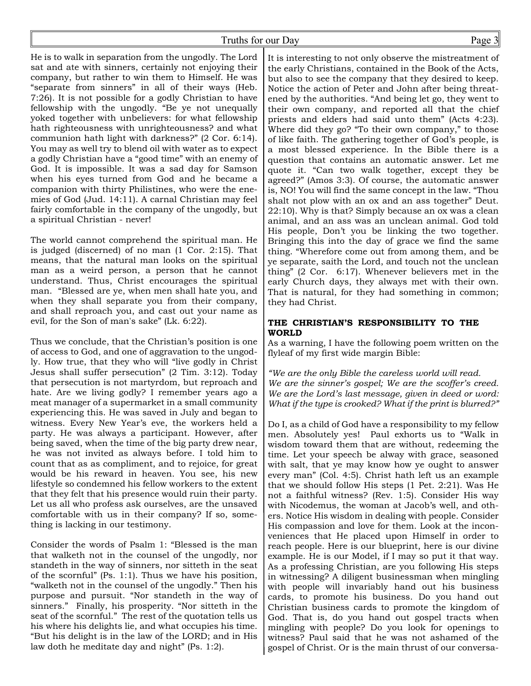# Truths for our Day Page 3

He is to walk in separation from the ungodly. The Lord sat and ate with sinners, certainly not enjoying their company, but rather to win them to Himself. He was "separate from sinners" in all of their ways (Heb. 7:26). It is not possible for a godly Christian to have fellowship with the ungodly. "Be ye not unequally yoked together with unbelievers: for what fellowship hath righteousness with unrighteousness? and what communion hath light with darkness?" (2 Cor. 6:14). You may as well try to blend oil with water as to expect a godly Christian have a "good time" with an enemy of God. It is impossible. It was a sad day for Samson when his eyes turned from God and he became a companion with thirty Philistines, who were the enemies of God (Jud. 14:11). A carnal Christian may feel fairly comfortable in the company of the ungodly, but a spiritual Christian - never!

The world cannot comprehend the spiritual man. He is judged (discerned) of no man (1 Cor. 2:15). That means, that the natural man looks on the spiritual man as a weird person, a person that he cannot understand. Thus, Christ encourages the spiritual man. "Blessed are ye, when men shall hate you, and when they shall separate you from their company, and shall reproach you, and cast out your name as evil, for the Son of man's sake" (Lk. 6:22).

Thus we conclude, that the Christian's position is one of access to God, and one of aggravation to the ungodly. How true, that they who will "live godly in Christ Jesus shall suffer persecution" (2 Tim. 3:12). Today that persecution is not martyrdom, but reproach and hate. Are we living godly? I remember years ago a meat manager of a supermarket in a small community experiencing this. He was saved in July and began to witness. Every New Year's eve, the workers held a party. He was always a participant. However, after being saved, when the time of the big party drew near, he was not invited as always before. I told him to count that as as compliment, and to rejoice, for great would be his reward in heaven. You see, his new lifestyle so condemned his fellow workers to the extent that they felt that his presence would ruin their party. Let us all who profess ask ourselves, are the unsaved comfortable with us in their company? If so, something is lacking in our testimony.

Consider the words of Psalm 1: "Blessed is the man that walketh not in the counsel of the ungodly, nor standeth in the way of sinners, nor sitteth in the seat of the scornful" (Ps. 1:1). Thus we have his position, "walketh not in the counsel of the ungodly." Then his purpose and pursuit. "Nor standeth in the way of sinners." Finally, his prosperity. "Nor sitteth in the seat of the scornful." The rest of the quotation tells us his where his delights lie, and what occupies his time. "But his delight is in the law of the LORD; and in His law doth he meditate day and night" (Ps. 1:2).

It is interesting to not only observe the mistreatment of the early Christians, contained in the Book of the Acts, but also to see the company that they desired to keep. Notice the action of Peter and John after being threatened by the authorities. "And being let go, they went to their own company, and reported all that the chief priests and elders had said unto them" (Acts 4:23). Where did they go? "To their own company," to those of like faith. The gathering together of God's people, is a most blessed experience. In the Bible there is a question that contains an automatic answer. Let me quote it. "Can two walk together, except they be agreed?" (Amos 3:3). Of course, the automatic answer is, NO! You will find the same concept in the law. "Thou shalt not plow with an ox and an ass together" Deut. 22:10). Why is that? Simply because an ox was a clean animal, and an ass was an unclean animal. God told His people, Don't you be linking the two together. Bringing this into the day of grace we find the same thing. "Wherefore come out from among them, and be ye separate, saith the Lord, and touch not the unclean thing" (2 Cor. 6:17). Whenever believers met in the early Church days, they always met with their own. That is natural, for they had something in common; they had Christ.

#### **THE CHRISTIAN'S RESPONSIBILITY TO THE WORLD**

As a warning, I have the following poem written on the flyleaf of my first wide margin Bible:

*"We are the only Bible the careless world will read. We are the sinner's gospel; We are the scoffer's creed. We are the Lord's last message, given in deed or word: What if the type is crooked? What if the print is blurred?"*

Do I, as a child of God have a responsibility to my fellow men. Absolutely yes! Paul exhorts us to "Walk in wisdom toward them that are without, redeeming the time. Let your speech be alway with grace, seasoned with salt, that ye may know how ye ought to answer every man" (Col. 4:5). Christ hath left us an example that we should follow His steps (1 Pet. 2:21). Was He not a faithful witness? (Rev. 1:5). Consider His way with Nicodemus, the woman at Jacob's well, and others. Notice His wisdom in dealing with people. Consider His compassion and love for them. Look at the inconveniences that He placed upon Himself in order to reach people. Here is our blueprint, here is our divine example. He is our Model, if I may so put it that way. As a professing Christian, are you following His steps in witnessing? A diligent businessman when mingling with people will invariably hand out his business cards, to promote his business. Do you hand out Christian business cards to promote the kingdom of God. That is, do you hand out gospel tracts when mingling with people? Do you look for openings to witness? Paul said that he was not ashamed of the gospel of Christ. Or is the main thrust of our conversa-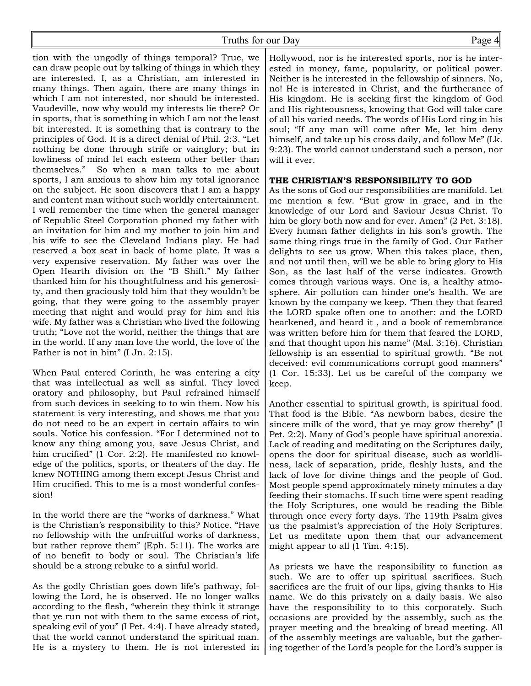# Truths for our Day Page 4

tion with the ungodly of things temporal? True, we can draw people out by talking of things in which they are interested. I, as a Christian, am interested in many things. Then again, there are many things in which I am not interested, nor should be interested. Vaudeville, now why would my interests lie there? Or in sports, that is something in which I am not the least bit interested. It is something that is contrary to the principles of God. It is a direct denial of Phil. 2:3. "Let nothing be done through strife or vainglory; but in lowliness of mind let each esteem other better than themselves." So when a man talks to me about sports, I am anxious to show him my total ignorance on the subject. He soon discovers that I am a happy and content man without such worldly entertainment. I well remember the time when the general manager of Republic Steel Corporation phoned my father with an invitation for him and my mother to join him and his wife to see the Cleveland Indians play. He had reserved a box seat in back of home plate. It was a very expensive reservation. My father was over the Open Hearth division on the "B Shift." My father thanked him for his thoughtfulness and his generosity, and then graciously told him that they wouldn't be going, that they were going to the assembly prayer meeting that night and would pray for him and his wife. My father was a Christian who lived the following truth; "Love not the world, neither the things that are in the world. If any man love the world, the love of the Father is not in him" (I Jn. 2:15).

When Paul entered Corinth, he was entering a city that was intellectual as well as sinful. They loved oratory and philosophy, but Paul refrained himself from such devices in seeking to to win them. Now his statement is very interesting, and shows me that you do not need to be an expert in certain affairs to win souls. Notice his confession. "For I determined not to know any thing among you, save Jesus Christ, and him crucified" (1 Cor. 2:2). He manifested no knowledge of the politics, sports, or theaters of the day. He knew NOTHING among them except Jesus Christ and Him crucified. This to me is a most wonderful confession!

In the world there are the "works of darkness." What is the Christian's responsibility to this? Notice. "Have no fellowship with the unfruitful works of darkness, but rather reprove them" (Eph. 5:11). The works are of no benefit to body or soul. The Christian's life should be a strong rebuke to a sinful world.

As the godly Christian goes down life's pathway, following the Lord, he is observed. He no longer walks according to the flesh, "wherein they think it strange that ye run not with them to the same excess of riot, speaking evil of you" (I Pet. 4:4). I have already stated, that the world cannot understand the spiritual man. He is a mystery to them. He is not interested in

Hollywood, nor is he interested sports, nor is he interested in money, fame, popularity, or political power. Neither is he interested in the fellowship of sinners. No, no! He is interested in Christ, and the furtherance of His kingdom. He is seeking first the kingdom of God and His righteousness, knowing that God will take care of all his varied needs. The words of His Lord ring in his soul; "If any man will come after Me, let him deny himself, and take up his cross daily, and follow Me" (Lk. 9:23). The world cannot understand such a person, nor will it ever.

### **THE CHRISTIAN'S RESPONSIBILITY TO GOD**

As the sons of God our responsibilities are manifold. Let me mention a few. "But grow in grace, and in the knowledge of our Lord and Saviour Jesus Christ. To him be glory both now and for ever. Amen" (2 Pet. 3:18). Every human father delights in his son's growth. The same thing rings true in the family of God. Our Father delights to see us grow. When this takes place, then, and not until then, will we be able to bring glory to His Son, as the last half of the verse indicates. Growth comes through various ways. One is, a healthy atmosphere. Air pollution can hinder one's health. We are known by the company we keep. 'Then they that feared the LORD spake often one to another: and the LORD hearkened, and heard it , and a book of remembrance was written before him for them that feared the LORD, and that thought upon his name" (Mal. 3:16). Christian fellowship is an essential to spiritual growth. "Be not deceived: evil communications corrupt good manners" (1 Cor. 15:33). Let us be careful of the company we keep.

Another essential to spiritual growth, is spiritual food. That food is the Bible. "As newborn babes, desire the sincere milk of the word, that ye may grow thereby" (I Pet. 2:2). Many of God's people have spiritual anorexia. Lack of reading and meditating on the Scriptures daily, opens the door for spiritual disease, such as worldliness, lack of separation, pride, fleshly lusts, and the lack of love for divine things and the people of God. Most people spend approximately ninety minutes a day feeding their stomachs. If such time were spent reading the Holy Scriptures, one would be reading the Bible through once every forty days. The 119th Psalm gives us the psalmist's appreciation of the Holy Scriptures. Let us meditate upon them that our advancement might appear to all (1 Tim. 4:15).

As priests we have the responsibility to function as such. We are to offer up spiritual sacrifices. Such sacrifices are the fruit of our lips, giving thanks to His name. We do this privately on a daily basis. We also have the responsibility to to this corporately. Such occasions are provided by the assembly, such as the prayer meeting and the breaking of bread meeting. All of the assembly meetings are valuable, but the gathering together of the Lord's people for the Lord's supper is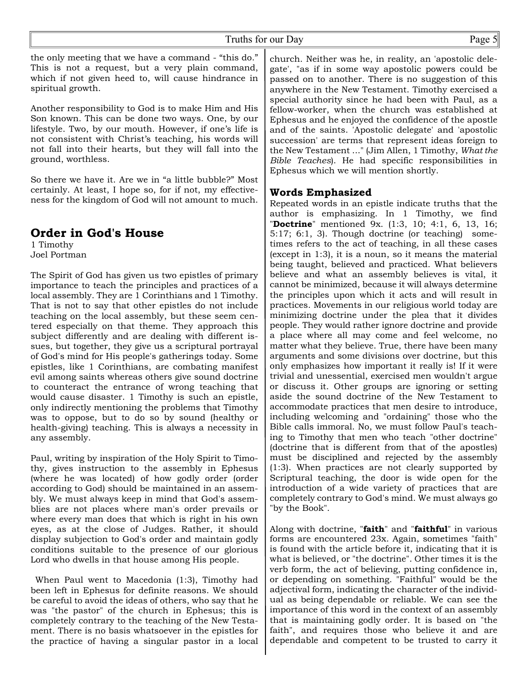the only meeting that we have a command - "this do." This is not a request, but a very plain command, which if not given heed to, will cause hindrance in spiritual growth.

Another responsibility to God is to make Him and His Son known. This can be done two ways. One, by our lifestyle. Two, by our mouth. However, if one's life is not consistent with Christ's teaching, his words will not fall into their hearts, but they will fall into the ground, worthless.

So there we have it. Are we in "a little bubble?" Most certainly. At least, I hope so, for if not, my effectiveness for the kingdom of God will not amount to much.

# **Order in God's House**

1 Timothy Joel Portman

The Spirit of God has given us two epistles of primary importance to teach the principles and practices of a local assembly. They are 1 Corinthians and 1 Timothy. That is not to say that other epistles do not include teaching on the local assembly, but these seem centered especially on that theme. They approach this subject differently and are dealing with different issues, but together, they give us a scriptural portrayal of God's mind for His people's gatherings today. Some epistles, like 1 Corinthians, are combating manifest evil among saints whereas others give sound doctrine to counteract the entrance of wrong teaching that would cause disaster. 1 Timothy is such an epistle, only indirectly mentioning the problems that Timothy was to oppose, but to do so by sound (healthy or health-giving) teaching. This is always a necessity in any assembly.

Paul, writing by inspiration of the Holy Spirit to Timothy, gives instruction to the assembly in Ephesus (where he was located) of how godly order (order according to God) should be maintained in an assembly. We must always keep in mind that God's assemblies are not places where man's order prevails or where every man does that which is right in his own eyes, as at the close of Judges. Rather, it should display subjection to God's order and maintain godly conditions suitable to the presence of our glorious Lord who dwells in that house among His people.

 When Paul went to Macedonia (1:3), Timothy had been left in Ephesus for definite reasons. We should be careful to avoid the ideas of others, who say that he was "the pastor" of the church in Ephesus; this is completely contrary to the teaching of the New Testament. There is no basis whatsoever in the epistles for the practice of having a singular pastor in a local church. Neither was he, in reality, an 'apostolic delegate', "as if in some way apostolic powers could be passed on to another. There is no suggestion of this anywhere in the New Testament. Timothy exercised a special authority since he had been with Paul, as a fellow-worker, when the church was established at Ephesus and he enjoyed the confidence of the apostle and of the saints. 'Apostolic delegate' and 'apostolic succession' are terms that represent ideas foreign to the New Testament ..." (Jim Allen, 1 Timothy, *What the Bible Teaches*). He had specific responsibilities in Ephesus which we will mention shortly.

# **Words Emphasized**

Repeated words in an epistle indicate truths that the author is emphasizing. In 1 Timothy, we find "**Doctrine**" mentioned 9x. (1:3, 10; 4:1, 6, 13, 16; 5:17; 6:1, 3). Though doctrine (or teaching) sometimes refers to the act of teaching, in all these cases (except in 1:3), it is a noun, so it means the material being taught, believed and practiced. What believers believe and what an assembly believes is vital, it cannot be minimized, because it will always determine the principles upon which it acts and will result in practices. Movements in our religious world today are minimizing doctrine under the plea that it divides people. They would rather ignore doctrine and provide a place where all may come and feel welcome, no matter what they believe. True, there have been many arguments and some divisions over doctrine, but this only emphasizes how important it really is! If it were trivial and unessential, exercised men wouldn't argue or discuss it. Other groups are ignoring or setting aside the sound doctrine of the New Testament to accommodate practices that men desire to introduce, including welcoming and "ordaining" those who the Bible calls immoral. No, we must follow Paul's teaching to Timothy that men who teach "other doctrine" (doctrine that is different from that of the apostles) must be disciplined and rejected by the assembly (1:3). When practices are not clearly supported by Scriptural teaching, the door is wide open for the introduction of a wide variety of practices that are completely contrary to God's mind. We must always go "by the Book".

Along with doctrine, "**faith**" and "**faithful**" in various forms are encountered 23x. Again, sometimes "faith" is found with the article before it, indicating that it is what is believed, or "the doctrine". Other times it is the verb form, the act of believing, putting confidence in, or depending on something. "Faithful" would be the adjectival form, indicating the character of the individual as being dependable or reliable. We can see the importance of this word in the context of an assembly that is maintaining godly order. It is based on "the faith", and requires those who believe it and are dependable and competent to be trusted to carry it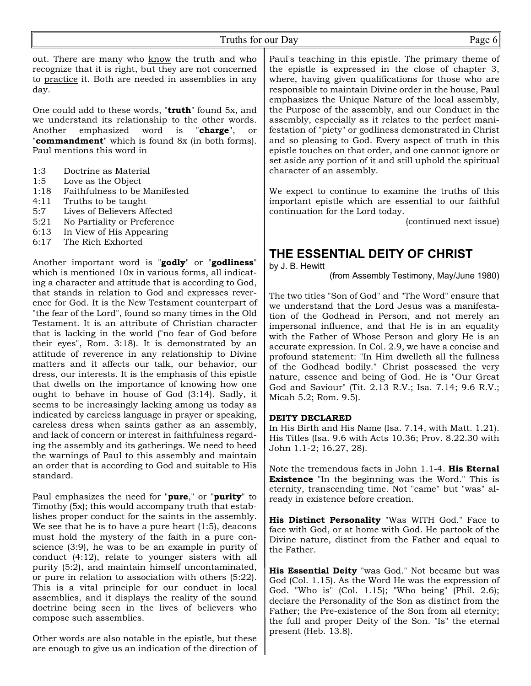out. There are many who know the truth and who recognize that it is right, but they are not concerned to practice it. Both are needed in assemblies in any day.

One could add to these words, "**truth**" found 5x, and we understand its relationship to the other words. Another emphasized word is "**charge**", or "**commandment**" which is found 8x (in both forms). Paul mentions this word in

- 1:3 Doctrine as Material
- 1:5 Love as the Object
- 1:18 Faithfulness to be Manifested
- 4:11 Truths to be taught
- 5:7 Lives of Believers Affected
- 5:21 No Partiality or Preference
- 6:13 In View of His Appearing
- 6:17 The Rich Exhorted

Another important word is "**godly**" or "**godliness**" which is mentioned 10x in various forms, all indicating a character and attitude that is according to God, that stands in relation to God and expresses reverence for God. It is the New Testament counterpart of "the fear of the Lord", found so many times in the Old Testament. It is an attribute of Christian character that is lacking in the world ("no fear of God before their eyes", Rom. 3:18). It is demonstrated by an attitude of reverence in any relationship to Divine matters and it affects our talk, our behavior, our dress, our interests. It is the emphasis of this epistle that dwells on the importance of knowing how one ought to behave in house of God (3:14). Sadly, it seems to be increasingly lacking among us today as indicated by careless language in prayer or speaking, careless dress when saints gather as an assembly, and lack of concern or interest in faithfulness regarding the assembly and its gatherings. We need to heed the warnings of Paul to this assembly and maintain an order that is according to God and suitable to His standard.

Paul emphasizes the need for "**pure**," or "**purity**" to Timothy (5x); this would accompany truth that establishes proper conduct for the saints in the assembly. We see that he is to have a pure heart (1:5), deacons must hold the mystery of the faith in a pure conscience (3:9), he was to be an example in purity of conduct (4:12), relate to younger sisters with all purity (5:2), and maintain himself uncontaminated, or pure in relation to association with others (5:22). This is a vital principle for our conduct in local assemblies, and it displays the reality of the sound doctrine being seen in the lives of believers who compose such assemblies.

Other words are also notable in the epistle, but these are enough to give us an indication of the direction of Paul's teaching in this epistle. The primary theme of the epistle is expressed in the close of chapter 3, where, having given qualifications for those who are responsible to maintain Divine order in the house, Paul emphasizes the Unique Nature of the local assembly, the Purpose of the assembly, and our Conduct in the assembly, especially as it relates to the perfect manifestation of "piety" or godliness demonstrated in Christ and so pleasing to God. Every aspect of truth in this epistle touches on that order, and one cannot ignore or set aside any portion of it and still uphold the spiritual character of an assembly.

We expect to continue to examine the truths of this important epistle which are essential to our faithful continuation for the Lord today.

(continued next issue)

# **THE ESSENTIAL DEITY OF CHRIST**

by J. B. Hewitt

(from Assembly Testimony, May/June 1980)

The two titles "Son of God" and "The Word" ensure that we understand that the Lord Jesus was a manifestation of the Godhead in Person, and not merely an impersonal influence, and that He is in an equality with the Father of Whose Person and glory He is an accurate expression. In Col. 2.9, we have a concise and profound statement: "In Him dwelleth all the fullness of the Godhead bodily." Christ possessed the very nature, essence and being of God. He is "Our Great God and Saviour" (Tit. 2.13 R.V.; Isa. 7.14; 9.6 R.V.; Micah 5.2; Rom. 9.5).

#### **DEITY DECLARED**

In His Birth and His Name (Isa. 7.14, with Matt. 1.21). His Titles (Isa. 9.6 with Acts 10.36; Prov. 8.22.30 with John 1.1-2; 16.27, 28).

Note the tremendous facts in John 1.1-4. **His Eternal Existence** "In the beginning was the Word." This is eternity, transcending time. Not "came" but "was" already in existence before creation.

**His Distinct Personality** "Was WITH God." Face to face with God, or at home with God. He partook of the Divine nature, distinct from the Father and equal to the Father.

**His Essential Deity** "was God." Not became but was God (Col. 1.15). As the Word He was the expression of God. "Who is" (Col. 1.15); "Who being" (Phil. 2.6); declare the Personality of the Son as distinct from the Father; the Pre-existence of the Son from all eternity; the full and proper Deity of the Son. "Is" the eternal present (Heb. 13.8).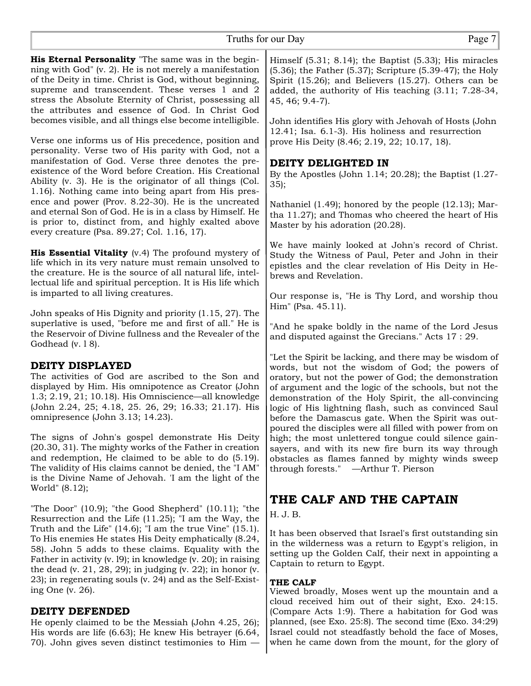**His Eternal Personality** "The same was in the beginning with God" (v. 2). He is not merely a manifestation of the Deity in time. Christ is God, without beginning, supreme and transcendent. These verses 1 and 2 stress the Absolute Eternity of Christ, possessing all the attributes and essence of God. In Christ God becomes visible, and all things else become intelligible.

Verse one informs us of His precedence, position and personality. Verse two of His parity with God, not a manifestation of God. Verse three denotes the preexistence of the Word before Creation. His Creational Ability (v. 3). He is the originator of all things (Col. 1.16). Nothing came into being apart from His presence and power (Prov. 8.22-30). He is the uncreated and eternal Son of God. He is in a class by Himself. He is prior to, distinct from, and highly exalted above every creature (Psa. 89.27; Col. 1.16, 17).

**His Essential Vitality** (v.4) The profound mystery of life which in its very nature must remain unsolved to the creature. He is the source of all natural life, intellectual life and spiritual perception. It is His life which is imparted to all living creatures.

John speaks of His Dignity and priority (1.15, 27). The superlative is used, "before me and first of all." He is the Reservoir of Divine fullness and the Revealer of the Godhead (v. 18).

# **DEITY DISPLAYED**

The activities of God are ascribed to the Son and displayed by Him. His omnipotence as Creator (John 1.3; 2.19, 21; 10.18). His Omniscience—all knowledge (John 2.24, 25; 4.18, 25. 26, 29; 16.33; 21.17). His omnipresence (John 3.13; 14.23).

The signs of John's gospel demonstrate His Deity (20.30, 31). The mighty works of the Father in creation and redemption, He claimed to be able to do (5.19). The validity of His claims cannot be denied, the "I AM" is the Divine Name of Jehovah. 'I am the light of the World" (8.12);

"The Door" (10.9); "the Good Shepherd" (10.11); "the Resurrection and the Life (11.25); "I am the Way, the Truth and the Life" (14.6); "I am the true Vine" (15.1). To His enemies He states His Deity emphatically (8.24, 58). John 5 adds to these claims. Equality with the Father in activity (v. l9); in knowledge (v. 20); in raising the dead (v. 21, 28, 29); in judging (v. 22); in honor (v. 23); in regenerating souls (v. 24) and as the Self-Existing One (v. 26).

# **DEITY DEFENDED**

He openly claimed to be the Messiah (John 4.25, 26); His words are life (6.63); He knew His betrayer (6.64, 70). John gives seven distinct testimonies to Him —

Himself (5.31; 8.14); the Baptist (5.33); His miracles (5.36); the Father (5.37); Scripture (5.39-47); the Holy Spirit (15.26); and Believers (15.27). Others can be added, the authority of His teaching (3.11; 7.28-34, 45, 46; 9.4-7).

John identifies His glory with Jehovah of Hosts (John 12.41; Isa. 6.1-3). His holiness and resurrection prove His Deity (8.46; 2.19, 22; 10.17, 18).

# **DEITY DELIGHTED IN**

By the Apostles (John 1.14; 20.28); the Baptist (1.27- 35);

Nathaniel (1.49); honored by the people (12.13); Martha 11.27); and Thomas who cheered the heart of His Master by his adoration (20.28).

We have mainly looked at John's record of Christ. Study the Witness of Paul, Peter and John in their epistles and the clear revelation of His Deity in Hebrews and Revelation.

Our response is, "He is Thy Lord, and worship thou Him" (Psa. 45.11).

"And he spake boldly in the name of the Lord Jesus and disputed against the Grecians." Acts 17 : 29.

"Let the Spirit be lacking, and there may be wisdom of words, but not the wisdom of God; the powers of oratory, but not the power of God; the demonstration of argument and the logic of the schools, but not the demonstration of the Holy Spirit, the all-convincing logic of His lightning flash, such as convinced Saul before the Damascus gate. When the Spirit was outpoured the disciples were all filled with power from on high; the most unlettered tongue could silence gainsayers, and with its new fire burn its way through obstacles as flames fanned by mighty winds sweep through forests." —Arthur T. Pierson

# **THE CALF AND THE CAPTAIN**

# H. J. B.

It has been observed that Israel's first outstanding sin in the wilderness was a return to Egypt's religion, in setting up the Golden Calf, their next in appointing a Captain to return to Egypt.

# **THE CALF**

Viewed broadly, Moses went up the mountain and a cloud received him out of their sight, Exo. 24:15. (Compare Acts 1:9). There a habitation for God was planned, (see Exo. 25:8). The second time (Exo. 34:29) Israel could not steadfastly behold the face of Moses, when he came down from the mount, for the glory of